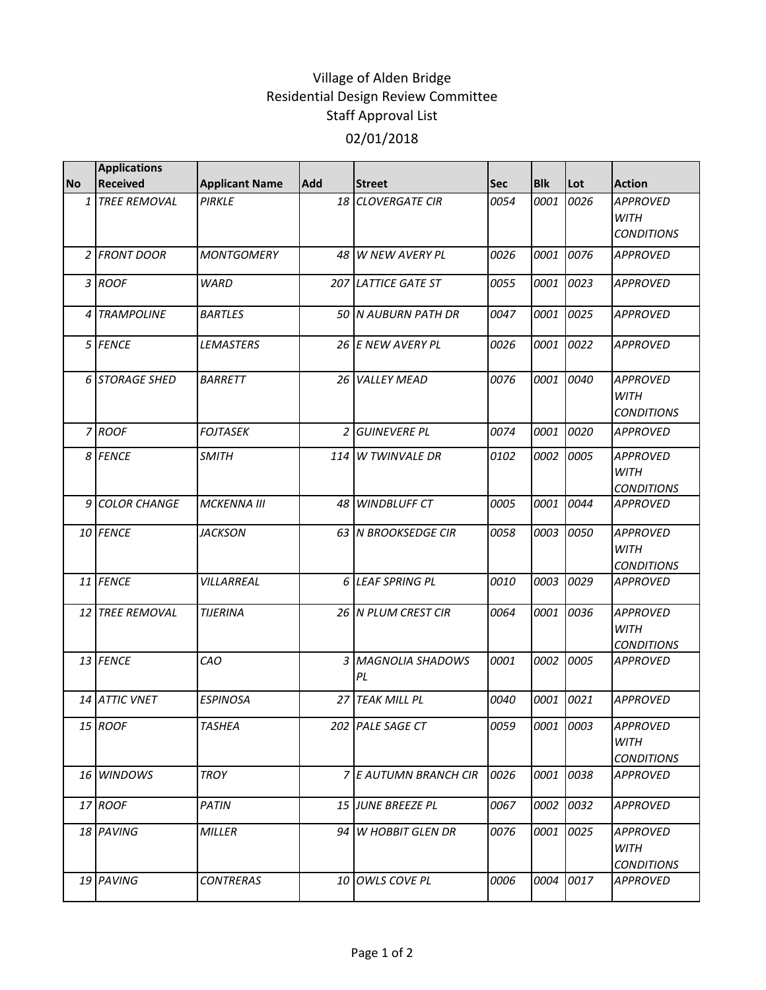## Village of Alden Bridge Residential Design Review Committee Staff Approval List 02/01/2018

|                | <b>Applications</b> |                       |            |                            |            |            |      |                                                     |
|----------------|---------------------|-----------------------|------------|----------------------------|------------|------------|------|-----------------------------------------------------|
| <b>No</b>      | <b>Received</b>     | <b>Applicant Name</b> | <b>Add</b> | <b>Street</b>              | <b>Sec</b> | <b>Blk</b> | Lot  | <b>Action</b>                                       |
|                | 1 TREE REMOVAL      | PIRKLE                |            | 18 CLOVERGATE CIR          | 0054       | 0001       | 0026 | <b>APPROVED</b><br><b>WITH</b><br><b>CONDITIONS</b> |
|                | 2 FRONT DOOR        | <b>MONTGOMERY</b>     |            | 48 W NEW AVERY PL          | 0026       | 0001       | 0076 | <b>APPROVED</b>                                     |
|                | 3 ROOF              | <b>WARD</b>           |            | <b>207 LATTICE GATE ST</b> | 0055       | 0001       | 0023 | <b>APPROVED</b>                                     |
|                | 4 TRAMPOLINE        | <b>BARTLES</b>        |            | 50 IN AUBURN PATH DR       | 0047       | 0001       | 0025 | <b>APPROVED</b>                                     |
|                | 5 FENCE             | <b>LEMASTERS</b>      |            | 26 E NEW AVERY PL          | 0026       | 0001       | 0022 | <b>APPROVED</b>                                     |
|                | 6 STORAGE SHED      | <b>BARRETT</b>        |            | 26 VALLEY MEAD             | 0076       | 0001       | 0040 | <b>APPROVED</b><br><b>WITH</b><br><b>CONDITIONS</b> |
|                | 7 ROOF              | <b>FOJTASEK</b>       |            | 2 GUINEVERE PL             | 0074       | 0001       | 0020 | <b>APPROVED</b>                                     |
|                | 8 FENCE             | <b>SMITH</b>          |            | 114 W TWINVALE DR          | 0102       | 0002       | 0005 | <b>APPROVED</b><br><b>WITH</b><br><b>CONDITIONS</b> |
| $\overline{9}$ | <b>COLOR CHANGE</b> | <b>MCKENNA III</b>    |            | 48 WINDBLUFF CT            | 0005       | 0001       | 0044 | <b>APPROVED</b>                                     |
|                | 10 FENCE            | <b>JACKSON</b>        |            | 63 N BROOKSEDGE CIR        | 0058       | 0003       | 0050 | <b>APPROVED</b><br><b>WITH</b><br><b>CONDITIONS</b> |
|                | 11 FENCE            | VILLARREAL            |            | 6 LEAF SPRING PL           | 0010       | 0003       | 0029 | <b>APPROVED</b>                                     |
|                | 12 TREE REMOVAL     | <b>TIJERINA</b>       |            | 26 N PLUM CREST CIR        | 0064       | 0001       | 0036 | <b>APPROVED</b><br><b>WITH</b><br><b>CONDITIONS</b> |
|                | 13 FENCE            | CAO                   |            | 3 MAGNOLIA SHADOWS<br>PL   | 0001       | 0002       | 0005 | <b>APPROVED</b>                                     |
|                | 14 ATTIC VNET       | <b>ESPINOSA</b>       |            | 27 TEAK MILL PL            | 0040       | 0001       | 0021 | <b>APPROVED</b>                                     |
|                | 15 ROOF             | <b>TASHEA</b>         |            | 202 PALE SAGE CT           | 0059       | 0001 0003  |      | APPROVED<br>WITH<br><b>CONDITIONS</b>               |
|                | 16 WINDOWS          | <b>TROY</b>           |            | 7 E AUTUMN BRANCH CIR      | 0026       | 0001       | 0038 | <b>APPROVED</b>                                     |
|                | 17 ROOF             | <b>PATIN</b>          |            | 15 JUNE BREEZE PL          | 0067       | 0002       | 0032 | APPROVED                                            |
|                | 18 PAVING           | <b>MILLER</b>         |            | 94 W HOBBIT GLEN DR        | 0076       | 0001       | 0025 | <b>APPROVED</b><br><b>WITH</b><br><b>CONDITIONS</b> |
|                | 19 PAVING           | <b>CONTRERAS</b>      | 10 I       | OWLS COVE PL               | 0006       | 0004       | 0017 | <b>APPROVED</b>                                     |